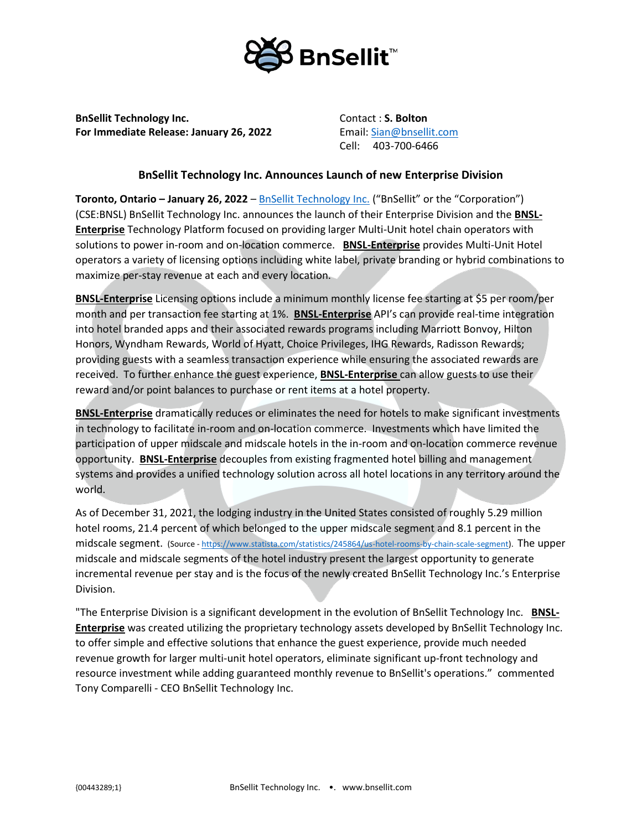

**BnSellit Technology Inc. Contact : S. Bolton For Immediate Release: January 26, 2022** Email: [Sian@bnsellit.com](mailto:Sian@bnsellit.com)

Cell: 403-700-6466

## **BnSellit Technology Inc. Announces Launch of new Enterprise Division**

**Toronto, Ontario – January 26, 2022** – [BnSellit Technology Inc.](https://bnsellit.com/) ("BnSellit" or the "Corporation") (CSE:BNSL) BnSellit Technology Inc. announces the launch of their Enterprise Division and the **BNSL-Enterprise** Technology Platform focused on providing larger Multi-Unit hotel chain operators with solutions to power in-room and on-location commerce. **BNSL-Enterprise** provides Multi-Unit Hotel operators a variety of licensing options including white label, private branding or hybrid combinations to maximize per-stay revenue at each and every location.

**BNSL-Enterprise** Licensing options include a minimum monthly license fee starting at \$5 per room/per month and per transaction fee starting at 1%. **BNSL-Enterprise** API's can provide real-time integration into hotel branded apps and their associated rewards programs including Marriott Bonvoy, Hilton Honors, Wyndham Rewards, World of Hyatt, Choice Privileges, IHG Rewards, Radisson Rewards; providing guests with a seamless transaction experience while ensuring the associated rewards are received. To further enhance the guest experience, **BNSL-Enterprise** can allow guests to use their reward and/or point balances to purchase or rent items at a hotel property.

**BNSL-Enterprise** dramatically reduces or eliminates the need for hotels to make significant investments in technology to facilitate in-room and on-location commerce. Investments which have limited the participation of upper midscale and midscale hotels in the in-room and on-location commerce revenue opportunity. **BNSL-Enterprise** decouples from existing fragmented hotel billing and management systems and provides a unified technology solution across all hotel locations in any territory around the world.

As of December 31, 2021, the lodging industry in the United States consisted of roughly 5.29 million hotel rooms, 21.4 percent of which belonged to the upper midscale segment and 8.1 percent in the midscale segment. (Source - [https://www.statista.com/statistics/245864/us-hotel-rooms-by-chain-scale-segment\)](https://www.statista.com/statistics/245864/us-hotel-rooms-by-chain-scale-segment). The upper midscale and midscale segments of the hotel industry present the largest opportunity to generate incremental revenue per stay and is the focus of the newly created BnSellit Technology Inc.'s Enterprise Division.

"The Enterprise Division is a significant development in the evolution of BnSellit Technology Inc. **BNSL-Enterprise** was created utilizing the proprietary technology assets developed by BnSellit Technology Inc. to offer simple and effective solutions that enhance the guest experience, provide much needed revenue growth for larger multi-unit hotel operators, eliminate significant up-front technology and resource investment while adding guaranteed monthly revenue to BnSellit's operations." commented Tony Comparelli - CEO BnSellit Technology Inc.